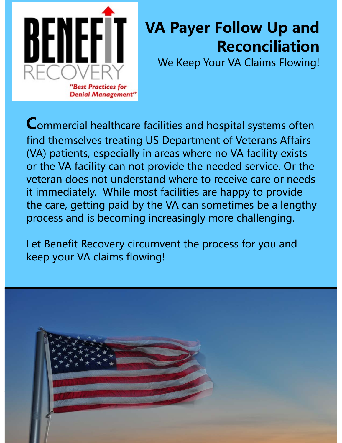

# **VA Payer Follow Up and Reconciliation**

We Keep Your VA Claims Flowing!

Commercial healthcare facilities and hospital systems often find themselves treating US Department of Veterans Affairs (VA) patients, especially in areas where no VA facility exists or the VA facility can not provide the needed service. Or the veteran does not understand where to receive care or needs it immediately. While most facilities are happy to provide the care, getting paid by the VA can sometimes be a lengthy process and is becoming increasingly more challenging.

Let Benefit Recovery circumvent the process for you and keep your VA claims flowing!

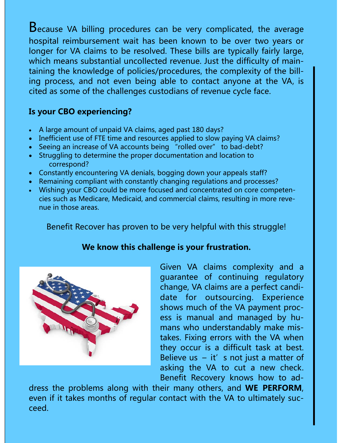Because VA billing procedures can be very complicated, the average hospital reimbursement wait has been known to be over two years or longer for VA claims to be resolved. These bills are typically fairly large, which means substantial uncollected revenue. Just the difficulty of maintaining the knowledge of policies/procedures, the complexity of the billing process, and not even being able to contact anyone at the VA, is cited as some of the challenges custodians of revenue cycle face.

# **Is your CBO experiencing?**

- A large amount of unpaid VA claims, aged past 180 days?
- Inefficient use of FTE time and resources applied to slow paying VA claims?
- Seeing an increase of VA accounts being "rolled over" to bad-debt?
- Struggling to determine the proper documentation and location to correspond?
- Constantly encountering VA denials, bogging down your appeals staff?
- Remaining compliant with constantly changing regulations and processes?
- Wishing your CBO could be more focused and concentrated on core competencies such as Medicare, Medicaid, and commercial claims, resulting in more revenue in those areas.

Benefit Recover has proven to be very helpful with this struggle!

# **We know this challenge is your frustration.**



Given VA claims complexity and a guarantee of continuing regulatory change, VA claims are a perfect candidate for outsourcing. Experience shows much of the VA payment process is manual and managed by humans who understandably make mistakes. Fixing errors with the VA when they occur is a difficult task at best. Believe us  $-$  it's not just a matter of asking the VA to cut a new check. Benefit Recovery knows how to ad-

dress the problems along with their many others, and **WE PERFORM**, even if it takes months of regular contact with the VA to ultimately succeed.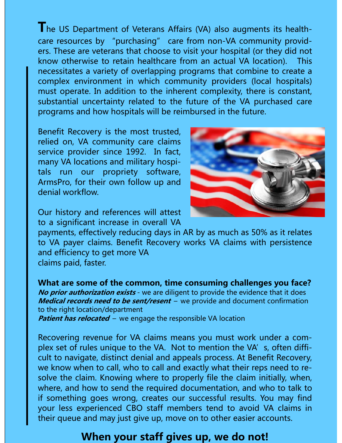**T**he US Department of Veterans Affairs (VA) also augments its healthcare resources by "purchasing" care from non-VA community providers. These are veterans that choose to visit your hospital (or they did not know otherwise to retain healthcare from an actual VA location). This necessitates a variety of overlapping programs that combine to create a complex environment in which community providers (local hospitals) must operate.In addition to the inherent complexity, there is constant, substantial uncertainty related to the future of the VA purchased care programs and how hospitals will be reimbursed in the future.

Benefit Recovery is the most trusted, relied on, VA community care claims service provider since 1992. In fact, many VA locations and military hospitals run our propriety software, ArmsPro, for their own follow up and denial workflow.



Our history and references will attest to a significant increase in overall VA

payments, effectively reducing days in AR by as much as 50% as it relates to VA payer claims. Benefit Recovery works VA claims with persistence and efficiency to get more VA claims paid, faster.

**What are some of the common, time consuming challenges you face? No prior authorization exists** - we are diligent to provide the evidence that it does **Medical records need to be sent/resent** – we provide and document confirmation to the right location/department **Patient has relocated** – we engage the responsible VA location

Recovering revenue for VA claims means you must work under a complex set of rules unique to the VA. Not to mention the VA's, often difficult to navigate, distinct denial and appeals process. At Benefit Recovery, we know when to call, who to call and exactly what their reps need to resolve the claim. Knowing where to properly file the claim initially, when, where, and how to send the required documentation, and who to talk to if something goes wrong, creates our successful results. You may find your less experienced CBO staff members tend to avoid VA claims in their queue and may just give up, move on to other easier accounts.

# **When your staff gives up, we do not!**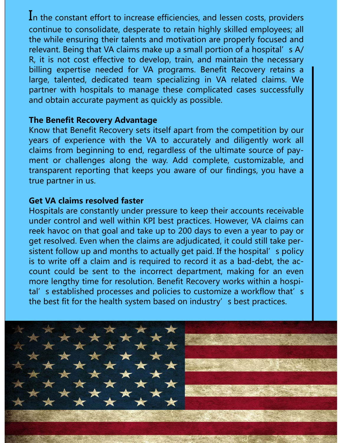In the constant effort to increase efficiencies, and lessen costs, providers continue to consolidate, desperate to retain highly skilled employees; all the while ensuring their talents and motivation are properly focused and relevant. Being that VA claims make up a small portion of a hospital's A/ R, it is not cost effective to develop, train, and maintain the necessary billing expertise needed for VA programs. Benefit Recovery retains a large, talented, dedicated team specializing in VA related claims. We partner with hospitals to manage these complicated cases successfully and obtain accurate payment as quickly as possible.

#### **The Benefit Recovery Advantage**

Know that Benefit Recovery sets itself apart from the competition by our years of experience with the VA to accurately and diligently work all claims from beginning to end, regardless of the ultimate source of payment or challenges along the way. Add complete, customizable, and transparent reporting that keeps you aware of our findings, you have a true partner in us.

#### **Get VA claims resolved faster**

Hospitals are constantly under pressure to keep their accounts receivable under control and well within KPI best practices. However, VA claims can reek havoc on that goal and take up to 200 days to even a year to pay or get resolved. Even when the claims are adjudicated, it could still take persistent follow up and months to actually get paid. If the hospital's policy is to write off a claim and is required to record it as a bad-debt, the account could be sent to the incorrect department, making for an even more lengthy time for resolution. Benefit Recovery works within a hospital's established processes and policies to customize a workflow that's the best fit for the health system based on industry's best practices.

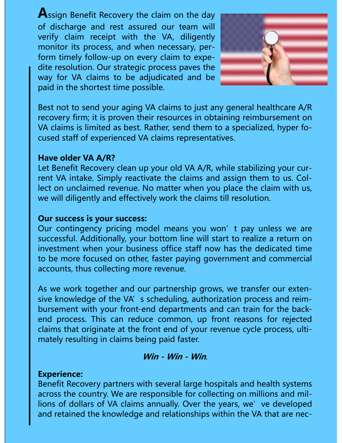**A**ssign Benefit Recovery the claim on the day of discharge and rest assured our team will verify claim receipt with the VA, diligently monitor its process, and when necessary, perform timely follow-up on every claim to expedite resolution. Our strategic process paves the way for VA claims to be adjudicated and be paid in the shortest time possible.



Best not to send your aging VA claims to just any general healthcare A/R recovery firm; it is proven their resources in obtaining reimbursement on VA claims is limited as best. Rather, send them to a specialized, hyper focused staff of experienced VA claims representatives.

#### **Have older VA A/R?**

Let Benefit Recovery clean up your old VA A/R, while stabilizing your current VA intake. Simply reactivate the claims and assign them to us. Collect on unclaimed revenue. No matter when you place the claim with us, we will diligently and effectively work the claims till resolution.

## **Our success is your success:**

Our contingency pricing model means you won't pay unless we are successful. Additionally, your bottom line will start to realize a return on investment when your business office staff now has the dedicated time to be more focused on other, faster paying government and commercial accounts, thus collecting more revenue.

As we work together and our partnership grows, we transfer our extensive knowledge of the VA's scheduling, authorization process and reimbursement with your front-end departments and can train for the backend process. This can reduce common, up front reasons for rejected claims that originate at the front end of your revenue cycle process, ultimately resulting in claims being paid faster.

## **Win - Win - Win**.

#### **Experience:**

Benefit Recovery partners with several large hospitals and health systems across the country. We are responsible for collecting on millions and millions of dollars of VA claims annually. Over the years, we've developed and retained the knowledge and relationships within the VA that are nec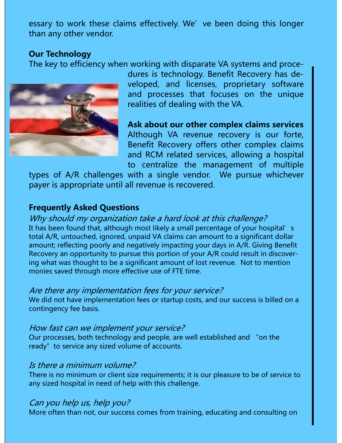essary to work these claims effectively. We' ve been doing this longer than any other vendor.

## **Our Technology**

The key to efficiency when working with disparate VA systems and proce-



dures is technology. Benefit Recovery has developed, and licenses, proprietary software and processes that focuses on the unique realities of dealing with the VA.

**Ask about our other complex claims services**  Although VA revenue recovery is our forte, Benefit Recovery offers other complex claims and RCM related services, allowing a hospital to centralize the management of multiple

types of A/R challenges with a single vendor. We pursue whichever payer is appropriate until all revenue is recovered.

## **Frequently Asked Questions**

Why should my organization take a hard look at this challenge? It has been found that, although most likely a small percentage of your hospital's total A/R, untouched, ignored, unpaid VA claims can amount to a significant dollar amount; reflecting poorly and negatively impacting your days in A/R. Giving Benefit Recovery an opportunity to pursue this portion of your A/R could result in discovering what was thought to be a significant amount of lost revenue. Not to mention monies saved through more effective use of FTE time.

## Are there any implementation fees for your service?

We did not have implementation fees or startup costs, and our success is billed on a contingency fee basis.

#### How fast can we implement your service?

Our processes, both technology and people, are well established and "on the ready" to service any sized volume of accounts.

## Is there a minimum volume?

There is no minimum or client size requirements; it is our pleasure to be of service to any sized hospital in need of help with this challenge.

## Can you help us, help you?

More often than not, our success comes from training, educating and consulting on